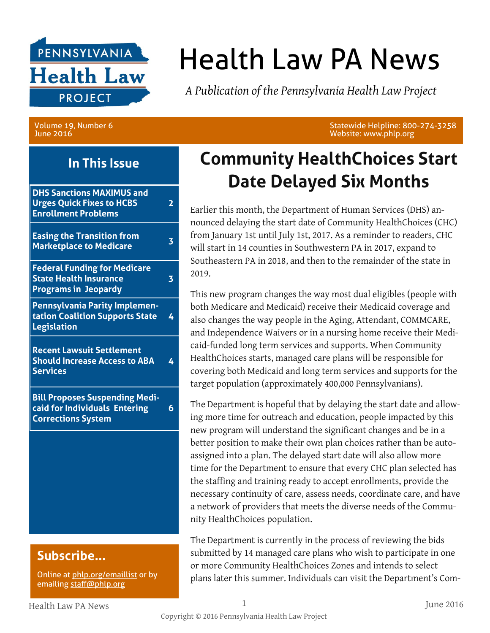

# Health Law PA News

*A Publication of the Pennsylvania Health Law Project*

Volume 19, Number 6 June 2016

**In This Issue**

| <b>DHS Sanctions MAXIMUS and</b><br><b>Urges Quick Fixes to HCBS</b><br><b>Enrollment Problems</b>  | 2 |
|-----------------------------------------------------------------------------------------------------|---|
| <b>Easing the Transition from</b><br><b>Marketplace to Medicare</b>                                 | 3 |
| <b>Federal Funding for Medicare</b><br><b>State Health Insurance</b><br><b>Programs in Jeopardy</b> | 3 |
| Pennsylvania Parity Implemen-<br>tation Coalition Supports State<br><b>Legislation</b>              | 4 |
| <b>Recent Lawsuit Settlement</b><br><b>Should Increase Access to ABA</b><br><b>Services</b>         |   |
| <b>Bill Proposes Suspending Medi-</b><br>caid for Individuals Entering<br><b>Corrections System</b> | 6 |
|                                                                                                     |   |
|                                                                                                     |   |
|                                                                                                     |   |

### **Subscribe...**

Online at [phlp.org/emaillist](http://www.phlp.org/home-page/emaillist) or by emailing [staff@phlp.org](mailto:staff@phlp.org)

**Community HealthChoices Start** 

Website: www.phlp.org

Statewide Helpline: 800-274-3258

Earlier this month, the Department of Human Services (DHS) announced delaying the start date of Community HealthChoices (CHC) from January 1st until July 1st, 2017. As a reminder to readers, CHC will start in 14 counties in Southwestern PA in 2017, expand to Southeastern PA in 2018, and then to the remainder of the state in 2019.

**Date Delayed Six Months**

This new program changes the way most dual eligibles (people with both Medicare and Medicaid) receive their Medicaid coverage and also changes the way people in the Aging, Attendant, COMMCARE, and Independence Waivers or in a nursing home receive their Medicaid-funded long term services and supports. When Community HealthChoices starts, managed care plans will be responsible for covering both Medicaid and long term services and supports for the target population (approximately 400,000 Pennsylvanians).

The Department is hopeful that by delaying the start date and allowing more time for outreach and education, people impacted by this new program will understand the significant changes and be in a better position to make their own plan choices rather than be autoassigned into a plan. The delayed start date will also allow more time for the Department to ensure that every CHC plan selected has the staffing and training ready to accept enrollments, provide the necessary continuity of care, assess needs, coordinate care, and have a network of providers that meets the diverse needs of the Community HealthChoices population.

The Department is currently in the process of reviewing the bids submitted by 14 managed care plans who wish to participate in one or more Community HealthChoices Zones and intends to select plans later this summer. Individuals can visit the Department's Com-

Health Law PA News 1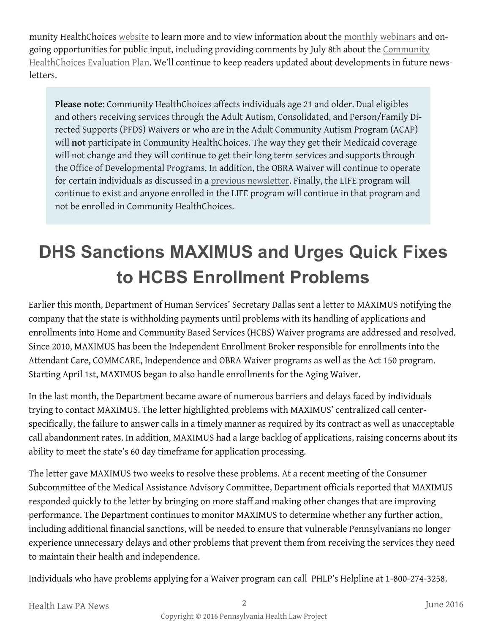munity HealthChoices [website](http://www.dhs.pa.gov/citizens/communityhealthchoices/) to learn more and to view information about the [monthly webinars](http://www.dhs.pa.gov/citizens/communityhealthchoices/thrdthrsdywbnrs/index.htm) and ongoing opportunities for public input, including providing comments by July 8th about the Community [HealthChoices Evaluation Plan](http://www.dhs.pa.gov/citizens/communityhealthchoices/evaluation/index.htm). We'll continue to keep readers updated about developments in future newsletters.

**Please note**: Community HealthChoices affects individuals age 21 and older. Dual eligibles and others receiving services through the Adult Autism, Consolidated, and Person/Family Directed Supports (PFDS) Waivers or who are in the Adult Community Autism Program (ACAP) will **not** participate in Community HealthChoices. The way they get their Medicaid coverage will not change and they will continue to get their long term services and supports through the Office of Developmental Programs. In addition, the OBRA Waiver will continue to operate for certain individuals as discussed in a [previous newsletter.](http://www.phlp.org/wp-content/uploads/2016/02/February-2016-HLN-Final.pdf) Finally, the LIFE program will continue to exist and anyone enrolled in the LIFE program will continue in that program and not be enrolled in Community HealthChoices.

# **DHS Sanctions MAXIMUS and Urges Quick Fixes to HCBS Enrollment Problems**

Earlier this month, Department of Human Services' Secretary Dallas sent a letter to MAXIMUS notifying the company that the state is withholding payments until problems with its handling of applications and enrollments into Home and Community Based Services (HCBS) Waiver programs are addressed and resolved. Since 2010, MAXIMUS has been the Independent Enrollment Broker responsible for enrollments into the Attendant Care, COMMCARE, Independence and OBRA Waiver programs as well as the Act 150 program. Starting April 1st, MAXIMUS began to also handle enrollments for the Aging Waiver.

In the last month, the Department became aware of numerous barriers and delays faced by individuals trying to contact MAXIMUS. The letter highlighted problems with MAXIMUS' centralized call centerspecifically, the failure to answer calls in a timely manner as required by its contract as well as unacceptable call abandonment rates. In addition, MAXIMUS had a large backlog of applications, raising concerns about its ability to meet the state's 60 day timeframe for application processing.

The letter gave MAXIMUS two weeks to resolve these problems. At a recent meeting of the Consumer Subcommittee of the Medical Assistance Advisory Committee, Department officials reported that MAXIMUS responded quickly to the letter by bringing on more staff and making other changes that are improving performance. The Department continues to monitor MAXIMUS to determine whether any further action, including additional financial sanctions, will be needed to ensure that vulnerable Pennsylvanians no longer experience unnecessary delays and other problems that prevent them from receiving the services they need to maintain their health and independence.

Individuals who have problems applying for a Waiver program can call PHLP's Helpline at 1-800-274-3258.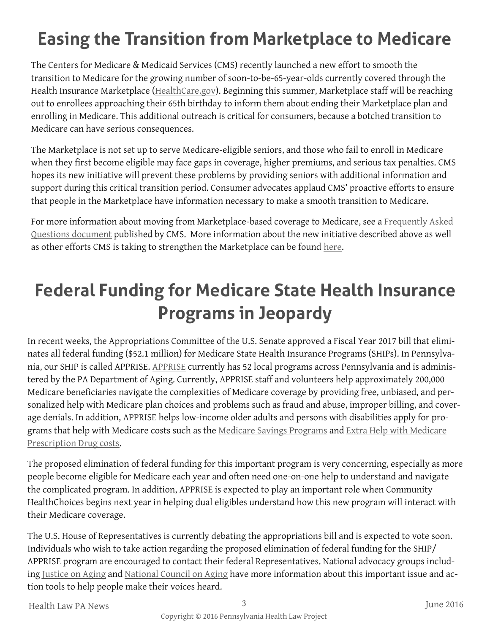# **Easing the Transition from Marketplace to Medicare**

The Centers for Medicare & Medicaid Services (CMS) recently launched a new effort to smooth the transition to Medicare for the growing number of soon-to-be-65-year-olds currently covered through the Health Insurance Marketplace ([HealthCare.gov\)](https://www.healthcare.gov/). Beginning this summer, Marketplace staff will be reaching out to enrollees approaching their 65th birthday to inform them about ending their Marketplace plan and enrolling in Medicare. This additional outreach is critical for consumers, because a botched transition to Medicare can have serious consequences.

The Marketplace is not set up to serve Medicare-eligible seniors, and those who fail to enroll in Medicare when they first become eligible may face gaps in coverage, higher premiums, and serious tax penalties. CMS hopes its new initiative will prevent these problems by providing seniors with additional information and support during this critical transition period. Consumer advocates applaud CMS' proactive efforts to ensure that people in the Marketplace have information necessary to make a smooth transition to Medicare.

For more information about moving from Marketplace-based coverage to Medicare, see a Frequently Asked [Questions document](https://www.cms.gov/Medicare/Eligibility-and-Enrollment/Medicare-and-the-Marketplace/Overview1.html) published by CMS. More information about the new initiative described above as well as other efforts CMS is taking to strengthen the Marketplace can be found [here.](https://www.cms.gov/Newsroom/MediaReleaseDatabase/Fact-sheets/2016-Fact-sheets-items/2016-06-08.html) 

## **Federal Funding for Medicare State Health Insurance Programs in Jeopardy**

In recent weeks, the Appropriations Committee of the U.S. Senate approved a Fiscal Year 2017 bill that eliminates all federal funding (\$52.1 million) for Medicare State Health Insurance Programs (SHIPs). In Pennsylvania, our SHIP is called APPRISE. [APPRISE](http://www.aging.pa.gov/aging-services/insurance/Pages/default.aspx#.V2lfX_krJMw) currently has 52 local programs across Pennsylvania and is administered by the PA Department of Aging. Currently, APPRISE staff and volunteers help approximately 200,000 Medicare beneficiaries navigate the complexities of Medicare coverage by providing free, unbiased, and personalized help with Medicare plan choices and problems such as fraud and abuse, improper billing, and coverage denials. In addition, APPRISE helps low-income older adults and persons with disabilities apply for programs that help with Medicare costs such as the [Medicare Savings Programs](http://www.phlp.org/wp-content/uploads/2016/02/2016-MSP-Guide-website-final.pdf) and [Extra Help with Medicare](http://www.phlp.org/wp-content/uploads/2016/02/2016-LIS-Fact-Sheet-website-final.pdf)  [Prescription Drug costs.](http://www.phlp.org/wp-content/uploads/2016/02/2016-LIS-Fact-Sheet-website-final.pdf)

The proposed elimination of federal funding for this important program is very concerning, especially as more people become eligible for Medicare each year and often need one-on-one help to understand and navigate the complicated program. In addition, APPRISE is expected to play an important role when Community HealthChoices begins next year in helping dual eligibles understand how this new program will interact with their Medicare coverage.

The U.S. House of Representatives is currently debating the appropriations bill and is expected to vote soon. Individuals who wish to take action regarding the proposed elimination of federal funding for the SHIP/ APPRISE program are encouraged to contact their federal Representatives. National advocacy groups including [Justice on Aging](http://salsa4.salsalabs.com/o/50849/p/dia/action3/common/public/?action_KEY=19052) and [National Council on Aging](https://www.ncoa.org/news/ncoa-news/public-policy-news/ships-eliminated-scsep-cut-in-fy17-funding-bill/) have more information about this important issue and action tools to help people make their voices heard.

Health Law PA News 3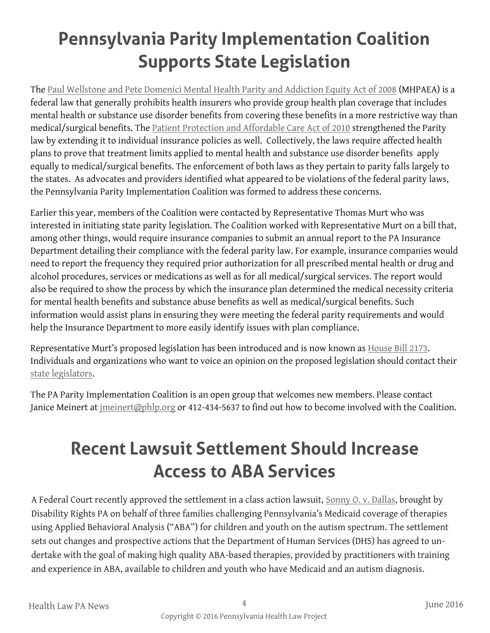# **Pennsylvania Parity Implementation Coalition Supports State Legislation**

The [Paul Wellstone and Pete Domenici Mental Health Parity and Addiction Equity Act of 2008](https://www.cms.gov/CCIIO/Programs-and-Initiatives/Other-Insurance-Protections/mhpaea_factsheet.html) (MHPAEA) is a federal law that generally prohibits health insurers who provide group health plan coverage that includes mental health or substance use disorder benefits from covering these benefits in a more restrictive way than medical/surgical benefits. The [Patient Protection and Affordable Care Act of 2010](https://www.healthcare.gov/glossary/affordable-care-act/) strengthened the Parity law by extending it to individual insurance policies as well. Collectively, the laws require affected health plans to prove that treatment limits applied to mental health and substance use disorder benefits apply equally to medical/surgical benefits. The enforcement of both laws as they pertain to parity falls largely to the states. As advocates and providers identified what appeared to be violations of the federal parity laws, the Pennsylvania Parity Implementation Coalition was formed to address these concerns.

Earlier this year, members of the Coalition were contacted by Representative Thomas Murt who was interested in initiating state parity legislation. The Coalition worked with Representative Murt on a bill that, among other things, would require insurance companies to submit an annual report to the PA Insurance Department detailing their compliance with the federal parity law. For example, insurance companies would need to report the frequency they required prior authorization for all prescribed mental health or drug and alcohol procedures, services or medications as well as for all medical/surgical services. The report would also be required to show the process by which the insurance plan determined the medical necessity criteria for mental health benefits and substance abuse benefits as well as medical/surgical benefits. Such information would assist plans in ensuring they were meeting the federal parity requirements and would help the Insurance Department to more easily identify issues with plan compliance.

Representative Murt's proposed legislation has been introduced and is now known as [House Bill 2173.](http://www.legis.state.pa.us/CFDOCS/billInfo/billInfo.cfm?syear=2015&sInd=0&body=H&type=B&bn=2173) Individuals and organizations who want to voice an opinion on the proposed legislation should contact their [state legislators.](http://www.legis.state.pa.us/cfdocs/legis/home/findyourlegislator/)

The PA Parity Implementation Coalition is an open group that welcomes new members. Please contact Janice Meinert at [jmeinert@phlp.org](mailto:jmeinert@phlp.org) or 412-434-5637 to find out how to become involved with the Coalition.

### **Recent Lawsuit Settlement Should Increase Access to ABA Services**

A Federal Court recently approved the settlement in a class action lawsuit, [Sonny O. v. Dallas,](http://disabilityrightspa.org/page/sonny/) brought by Disability Rights PA on behalf of three families challenging Pennsylvania's Medicaid coverage of therapies using Applied Behavioral Analysis ("ABA") for children and youth on the autism spectrum. The settlement sets out changes and prospective actions that the Department of Human Services (DHS) has agreed to undertake with the goal of making high quality ABA-based therapies, provided by practitioners with training and experience in ABA, available to children and youth who have Medicaid and an autism diagnosis.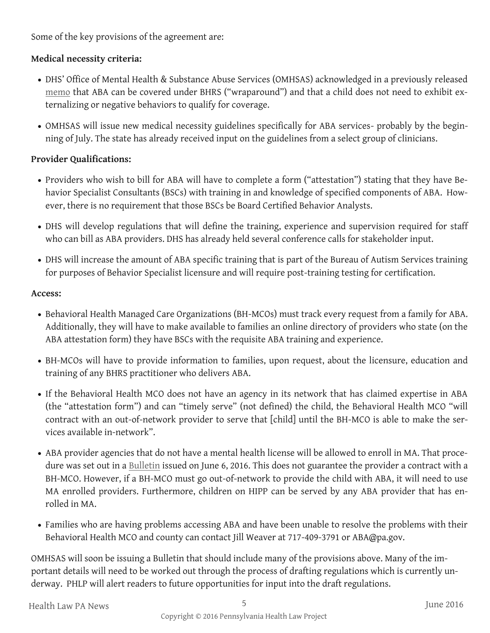Some of the key provisions of the agreement are:

#### **Medical necessity criteria:**

- DHS' Office of Mental Health & Substance Abuse Services (OMHSAS) acknowledged in a previously released [memo](http://www.parecovery.org/documents/MA_Coverage_ABA_031815.pdf) that ABA can be covered under BHRS ("wraparound") and that a child does not need to exhibit externalizing or negative behaviors to qualify for coverage.
- OMHSAS will issue new medical necessity guidelines specifically for ABA services- probably by the beginning of July. The state has already received input on the guidelines from a select group of clinicians.

#### **Provider Qualifications:**

- Providers who wish to bill for ABA will have to complete a form ("attestation") stating that they have Behavior Specialist Consultants (BSCs) with training in and knowledge of specified components of ABA. However, there is no requirement that those BSCs be Board Certified Behavior Analysts.
- DHS will develop regulations that will define the training, experience and supervision required for staff who can bill as ABA providers. DHS has already held several conference calls for stakeholder input.
- DHS will increase the amount of ABA specific training that is part of the Bureau of Autism Services training for purposes of Behavior Specialist licensure and will require post-training testing for certification.

#### **Access:**

- Behavioral Health Managed Care Organizations (BH-MCOs) must track every request from a family for ABA. Additionally, they will have to make available to families an online directory of providers who state (on the ABA attestation form) they have BSCs with the requisite ABA training and experience.
- BH-MCOs will have to provide information to families, upon request, about the licensure, education and training of any BHRS practitioner who delivers ABA.
- If the Behavioral Health MCO does not have an agency in its network that has claimed expertise in ABA (the "attestation form") and can "timely serve" (not defined) the child, the Behavioral Health MCO "will contract with an out-of-network provider to serve that [child] until the BH-MCO is able to make the services available in-network".
- ABA provider agencies that do not have a mental health license will be allowed to enroll in MA. That procedure was set out in a [Bulletin](http://www.dhs.pa.gov/publications/bulletinsearch/bulletinselected/index.htm?bn=OMHSAS-16-07&o=N&po=OMHSAS&id=06/06/2016) issued on June 6, 2016. This does not guarantee the provider a contract with a BH-MCO. However, if a BH-MCO must go out-of-network to provide the child with ABA, it will need to use MA enrolled providers. Furthermore, children on HIPP can be served by any ABA provider that has enrolled in MA.
- Families who are having problems accessing ABA and have been unable to resolve the problems with their Behavioral Health MCO and county can contact Jill Weaver at 717-409-3791 or ABA@pa.gov.

OMHSAS will soon be issuing a Bulletin that should include many of the provisions above. Many of the important details will need to be worked out through the process of drafting regulations which is currently underway. PHLP will alert readers to future opportunities for input into the draft regulations.